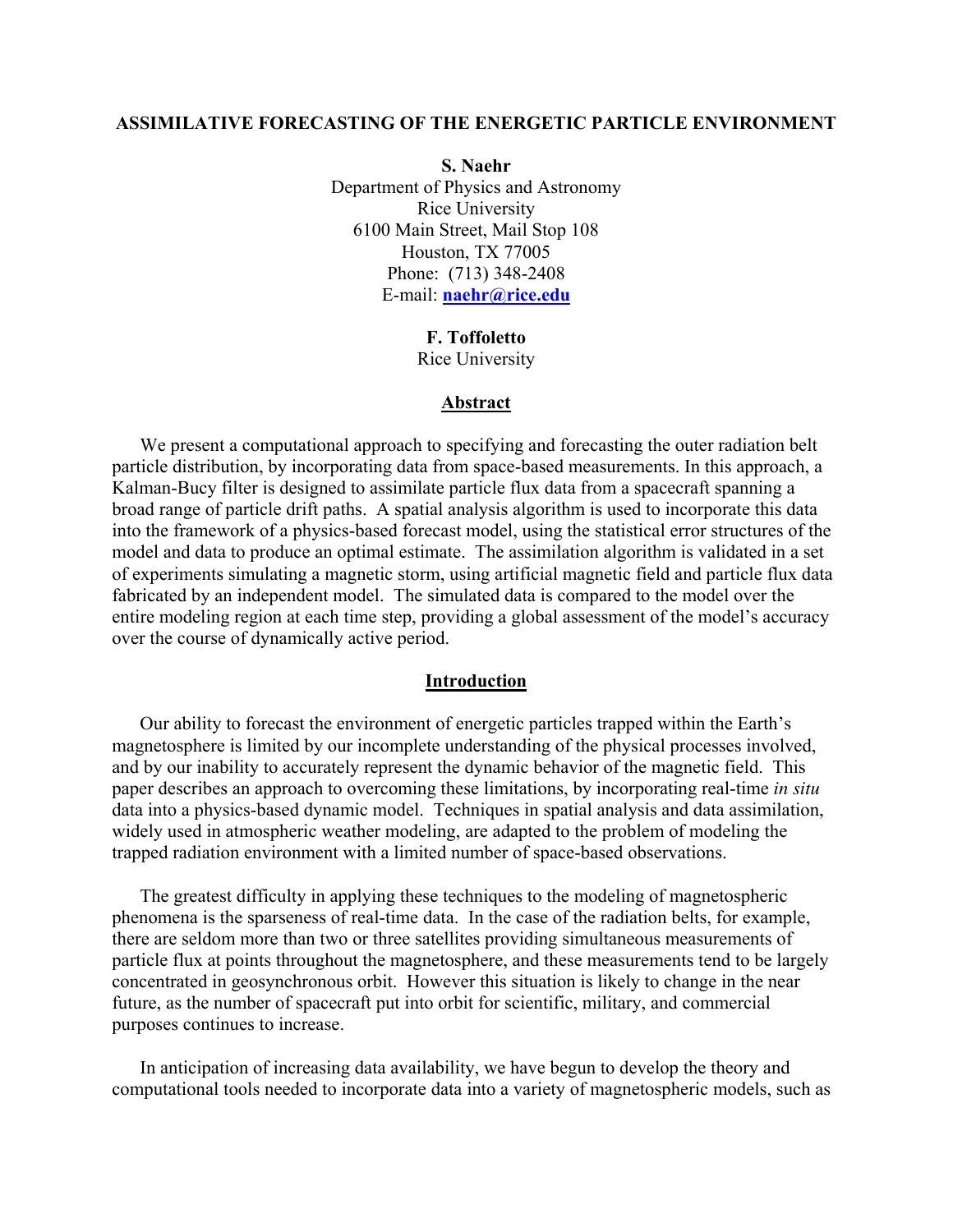### **ASSIMILATIVE FORECASTING OF THE ENERGETIC PARTICLE ENVIRONMENT**

**S. Naehr**  Department of Physics and Astronomy Rice University 6100 Main Street, Mail Stop 108 Houston, TX 77005 Phone: (713) 348-2408 E-mail: **[naehr@rice.edu](mailto:naehr@rice.edu)**

> **F. Toffoletto**  Rice University

### **Abstract**

We present a computational approach to specifying and forecasting the outer radiation belt particle distribution, by incorporating data from space-based measurements. In this approach, a Kalman-Bucy filter is designed to assimilate particle flux data from a spacecraft spanning a broad range of particle drift paths. A spatial analysis algorithm is used to incorporate this data into the framework of a physics-based forecast model, using the statistical error structures of the model and data to produce an optimal estimate. The assimilation algorithm is validated in a set of experiments simulating a magnetic storm, using artificial magnetic field and particle flux data fabricated by an independent model. The simulated data is compared to the model over the entire modeling region at each time step, providing a global assessment of the model's accuracy over the course of dynamically active period.

### **Introduction**

Our ability to forecast the environment of energetic particles trapped within the Earth's magnetosphere is limited by our incomplete understanding of the physical processes involved, and by our inability to accurately represent the dynamic behavior of the magnetic field. This paper describes an approach to overcoming these limitations, by incorporating real-time *in situ* data into a physics-based dynamic model. Techniques in spatial analysis and data assimilation, widely used in atmospheric weather modeling, are adapted to the problem of modeling the trapped radiation environment with a limited number of space-based observations.

The greatest difficulty in applying these techniques to the modeling of magnetospheric phenomena is the sparseness of real-time data. In the case of the radiation belts, for example, there are seldom more than two or three satellites providing simultaneous measurements of particle flux at points throughout the magnetosphere, and these measurements tend to be largely concentrated in geosynchronous orbit. However this situation is likely to change in the near future, as the number of spacecraft put into orbit for scientific, military, and commercial purposes continues to increase.

In anticipation of increasing data availability, we have begun to develop the theory and computational tools needed to incorporate data into a variety of magnetospheric models, such as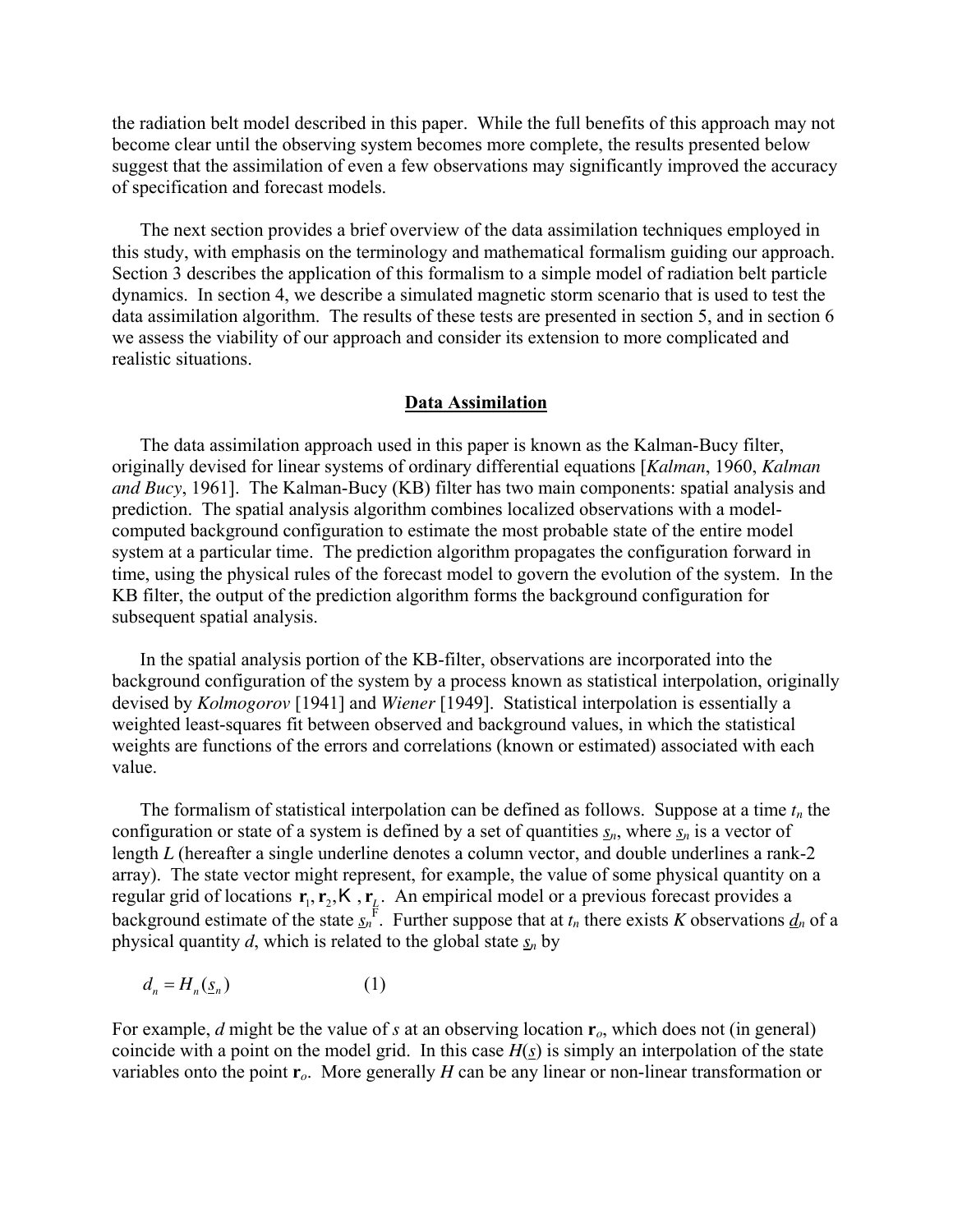the radiation belt model described in this paper. While the full benefits of this approach may not become clear until the observing system becomes more complete, the results presented below suggest that the assimilation of even a few observations may significantly improved the accuracy of specification and forecast models.

The next section provides a brief overview of the data assimilation techniques employed in this study, with emphasis on the terminology and mathematical formalism guiding our approach. Section 3 describes the application of this formalism to a simple model of radiation belt particle dynamics. In section 4, we describe a simulated magnetic storm scenario that is used to test the data assimilation algorithm. The results of these tests are presented in section 5, and in section 6 we assess the viability of our approach and consider its extension to more complicated and realistic situations.

## **Data Assimilation**

The data assimilation approach used in this paper is known as the Kalman-Bucy filter, originally devised for linear systems of ordinary differential equations [*Kalman*, 1960, *Kalman and Bucy*, 1961]. The Kalman-Bucy (KB) filter has two main components: spatial analysis and prediction. The spatial analysis algorithm combines localized observations with a modelcomputed background configuration to estimate the most probable state of the entire model system at a particular time. The prediction algorithm propagates the configuration forward in time, using the physical rules of the forecast model to govern the evolution of the system. In the KB filter, the output of the prediction algorithm forms the background configuration for subsequent spatial analysis.

In the spatial analysis portion of the KB-filter, observations are incorporated into the background configuration of the system by a process known as statistical interpolation, originally devised by *Kolmogorov* [1941] and *Wiener* [1949]. Statistical interpolation is essentially a weighted least-squares fit between observed and background values, in which the statistical weights are functions of the errors and correlations (known or estimated) associated with each value.

The formalism of statistical interpolation can be defined as follows. Suppose at a time  $t_n$  the configuration or state of a system is defined by a set of quantities  $s_n$ , where  $s_n$  is a vector of length *L* (hereafter a single underline denotes a column vector, and double underlines a rank-2 array). The state vector might represent, for example, the value of some physical quantity on a regular grid of locations  $r_1, r_2, K, r_1$ . An empirical model or a previous forecast provides a background estimate of the state  $\mathbf{r}_1, \mathbf{r}_2, \mathsf{K}$ ,  $\mathbf{r}_L$  $s_n$ <sup>F</sup>. Further suppose that at  $t_n$  there exists *K* observations  $d_n$  of a physical quantity *d*, which is related to the global state  $s_n$  by

$$
d_n = H_n(\underline{s}_n) \tag{1}
$$

For example, *d* might be the value of *s* at an observing location **r***o*, which does not (in general) coincide with a point on the model grid. In this case  $H(s)$  is simply an interpolation of the state variables onto the point  $\mathbf{r}_o$ . More generally *H* can be any linear or non-linear transformation or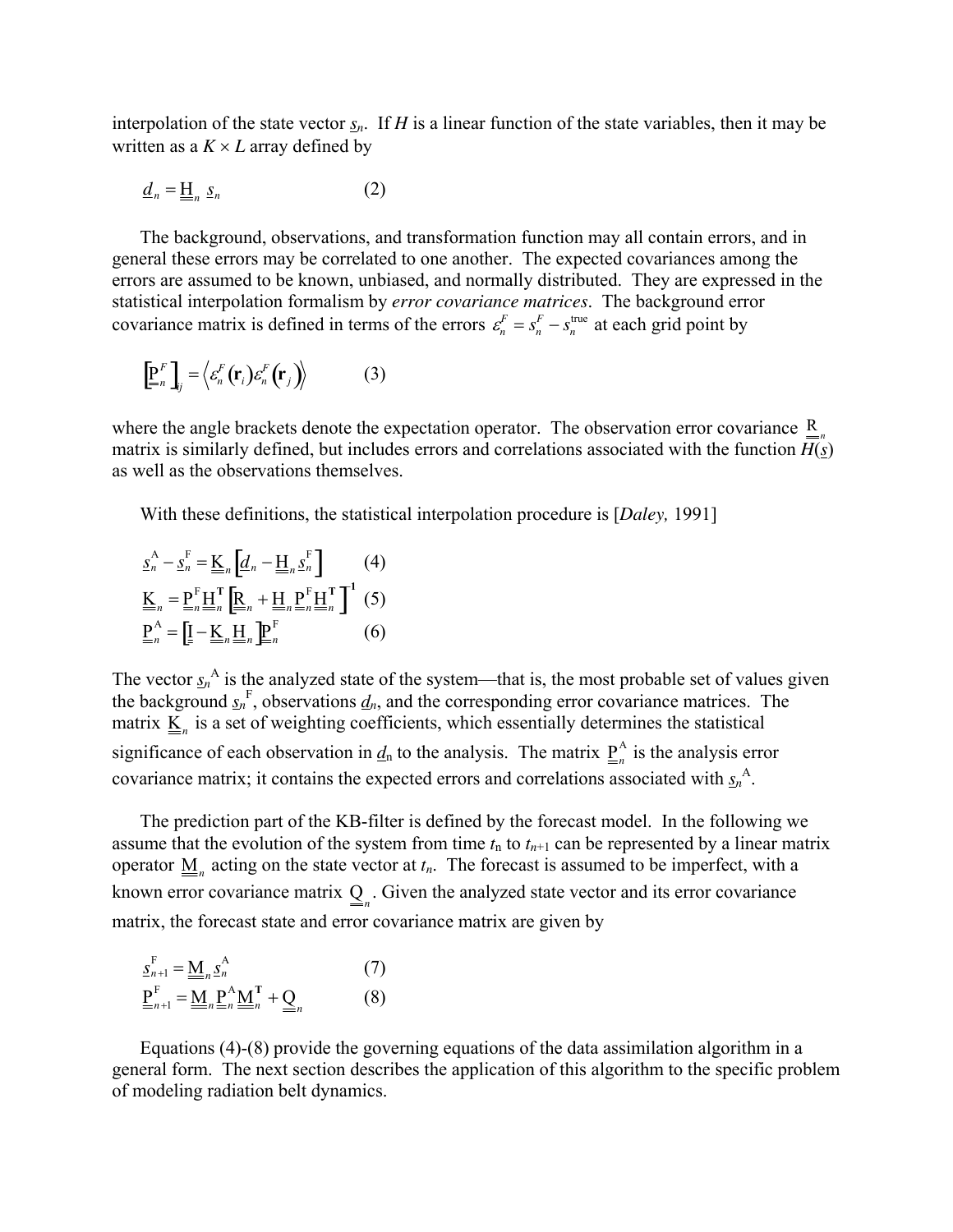interpolation of the state vector  $s_n$ . If *H* is a linear function of the state variables, then it may be written as a  $K \times L$  array defined by

$$
\underline{d}_n = \underline{\underline{H}}_n \underline{s}_n \tag{2}
$$

The background, observations, and transformation function may all contain errors, and in general these errors may be correlated to one another. The expected covariances among the errors are assumed to be known, unbiased, and normally distributed. They are expressed in the statistical interpolation formalism by *error covariance matrices*. The background error covariance matrix is defined in terms of the errors  $\varepsilon_n^F = s_n^F - s_n^{\text{true}}$  at each grid point by

$$
\left[\underline{\underline{\mathbf{P}}}_n^F\right]_{ij} = \left\langle \varepsilon_n^F(\mathbf{r}_i)\varepsilon_n^F(\mathbf{r}_j) \right\rangle \tag{3}
$$

where the angle brackets denote the expectation operator. The observation error covariance  $\underline{R}_{n}$ matrix is similarly defined, but includes errors and correlations associated with the function  $\overline{H(s)}$ as well as the observations themselves.

With these definitions, the statistical interpolation procedure is [*Daley,* 1991]

$$
\underline{s}_{n}^{\mathbf{A}} - \underline{s}_{n}^{\mathbf{F}} = \underline{\underline{\underline{\mathbf{K}}}}_{n} \left[ \underline{\underline{\underline{\mathbf{d}}}}_{n} - \underline{\underline{\underline{\mathbf{H}}}}_{n} \underline{\underline{\underline{\mathbf{s}}}}_{n}^{\mathbf{F}} \right] \tag{4}
$$
\n
$$
\underline{\underline{\underline{\mathbf{K}}}}_{n} = \underline{\underline{\underline{\mathbf{P}}}}_{n}^{\mathbf{F}} \underline{\underline{\underline{\mathbf{H}}}}_{n}^{\mathbf{T}} \left[ \underline{\underline{\underline{\mathbf{R}}}}_{n} + \underline{\underline{\underline{\mathbf{H}}}}_{n} \underline{\underline{\underline{\mathbf{P}}}}_{n}^{\mathbf{F}} \underline{\underline{\underline{\mathbf{H}}}}_{n}^{\mathbf{T}} \right] \tag{5}
$$
\n
$$
\underline{\underline{\underline{\mathbf{P}}}}_{n}^{\mathbf{A}} = \left[ \underline{\underline{\underline{\mathbf{I}}}} - \underline{\underline{\underline{\mathbf{K}}}}_{n} \underline{\underline{\underline{\mathbf{H}}}}_{n} \underline{\underline{\underline{\mathbf{P}}}}_{n}^{\mathbf{F}} \right] \tag{6}
$$

The vector  $s_n^A$  is the analyzed state of the system—that is, the most probable set of values given the background  $s_n^F$ , observations  $d_n$ , and the corresponding error covariance matrices. The matrix  $\underline{\underline{K}}_n$  is a set of weighting coefficients, which essentially determines the statistical significance of each observation in  $\underline{d}_n$  to the analysis. The matrix  $\underline{P}_n^A$  is the analysis error covariance matrix; it contains the expected errors and correlations associated with  $s_n^A$ .

The prediction part of the KB-filter is defined by the forecast model. In the following we assume that the evolution of the system from time  $t_n$  to  $t_{n+1}$  can be represented by a linear matrix operator  $\underline{M}_n$  acting on the state vector at  $t_n$ . The forecast is assumed to be imperfect, with a known error covariance matrix  $\underline{Q}_n$ . Given the analyzed state vector and its error covariance matrix, the forecast state and error covariance matrix are given by

$$
\underline{\underline{P}}_{n+1}^{F} = \underline{\underline{M}}_{n} \underline{\underline{P}}_{n}^{A} \qquad (7)
$$
\n
$$
\underline{\underline{P}}_{n+1}^{F} = \underline{\underline{M}}_{n} \underline{\underline{P}}_{n}^{A} \underline{\underline{M}}_{n}^{T} + \underline{\underline{Q}}_{n} \qquad (8)
$$

Equations (4)-(8) provide the governing equations of the data assimilation algorithm in a general form. The next section describes the application of this algorithm to the specific problem of modeling radiation belt dynamics.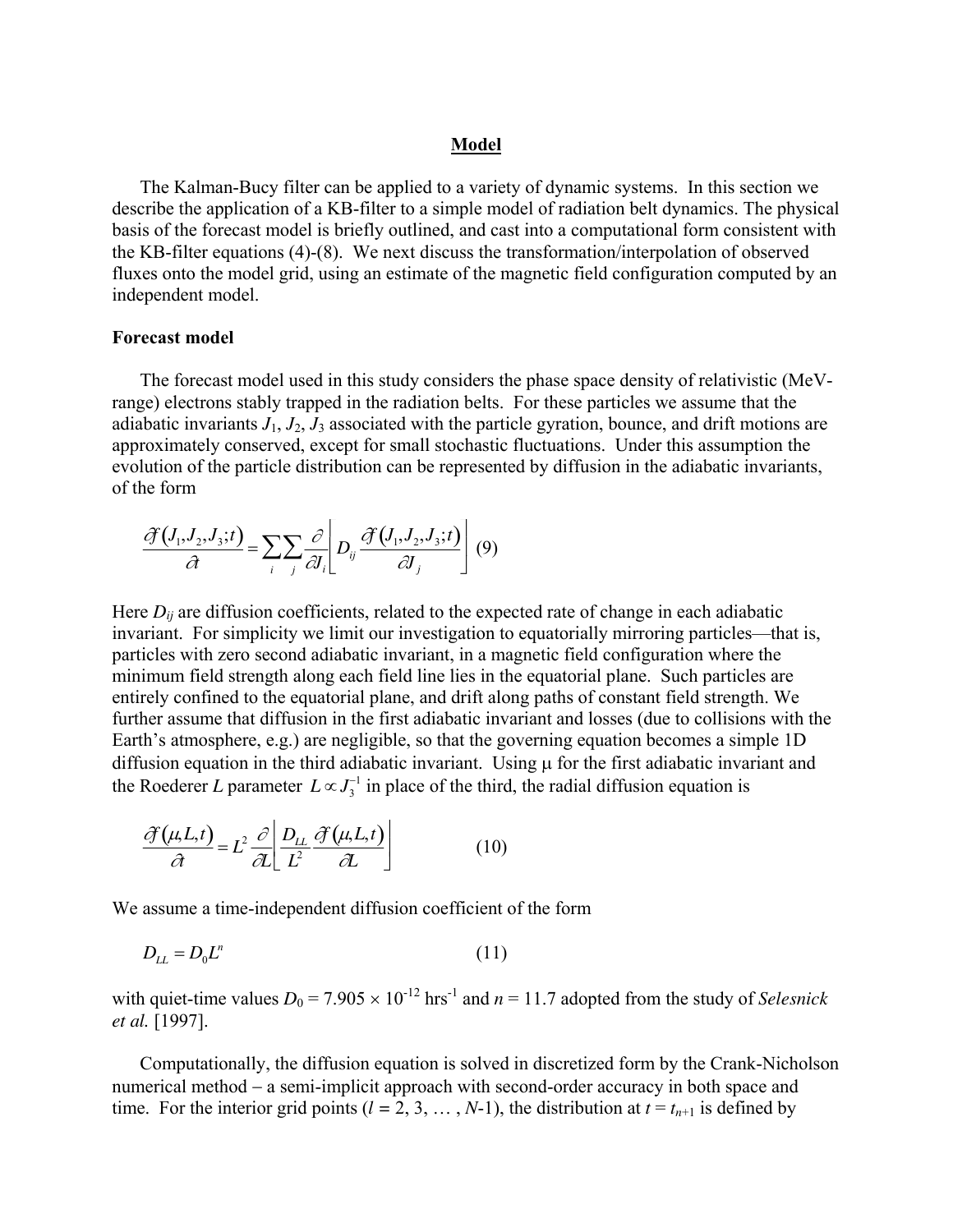## **Model**

The Kalman-Bucy filter can be applied to a variety of dynamic systems. In this section we describe the application of a KB-filter to a simple model of radiation belt dynamics. The physical basis of the forecast model is briefly outlined, and cast into a computational form consistent with the KB-filter equations (4)-(8). We next discuss the transformation/interpolation of observed fluxes onto the model grid, using an estimate of the magnetic field configuration computed by an independent model.

## **Forecast model**

The forecast model used in this study considers the phase space density of relativistic (MeVrange) electrons stably trapped in the radiation belts. For these particles we assume that the adiabatic invariants  $J_1$ ,  $J_2$ ,  $J_3$  associated with the particle gyration, bounce, and drift motions are approximately conserved, except for small stochastic fluctuations. Under this assumption the evolution of the particle distribution can be represented by diffusion in the adiabatic invariants, of the form

$$
\frac{\partial f(I_1, J_2, J_3; t)}{\partial t} = \sum_i \sum_j \frac{\partial}{\partial I_i} \left[ D_{ij} \frac{\partial f(I_1, J_2, J_3; t)}{\partial J_j} \right] (9)
$$

Here  $D_{ii}$  are diffusion coefficients, related to the expected rate of change in each adiabatic invariant. For simplicity we limit our investigation to equatorially mirroring particles—that is, particles with zero second adiabatic invariant, in a magnetic field configuration where the minimum field strength along each field line lies in the equatorial plane. Such particles are entirely confined to the equatorial plane, and drift along paths of constant field strength. We further assume that diffusion in the first adiabatic invariant and losses (due to collisions with the Earth's atmosphere, e.g.) are negligible, so that the governing equation becomes a simple 1D diffusion equation in the third adiabatic invariant. Using  $\mu$  for the first adiabatic invariant and the Roederer *L* parameter  $L \propto J_3^{-1}$  in place of the third, the radial diffusion equation is

$$
\frac{\partial f(\mu, L, t)}{\partial t} = L^2 \frac{\partial}{\partial L} \left[ \frac{D_{LL}}{L^2} \frac{\partial f(\mu, L, t)}{\partial L} \right] \tag{10}
$$

We assume a time-independent diffusion coefficient of the form

$$
D_{LL} = D_0 L^n \tag{11}
$$

with quiet-time values  $D_0 = 7.905 \times 10^{-12}$  hrs<sup>-1</sup> and  $n = 11.7$  adopted from the study of *Selesnick et al.* [1997].

Computationally, the diffusion equation is solved in discretized form by the Crank-Nicholson numerical method – a semi-implicit approach with second-order accuracy in both space and time. For the interior grid points  $(l = 2, 3, ..., N-1)$ , the distribution at  $t = t_{n+1}$  is defined by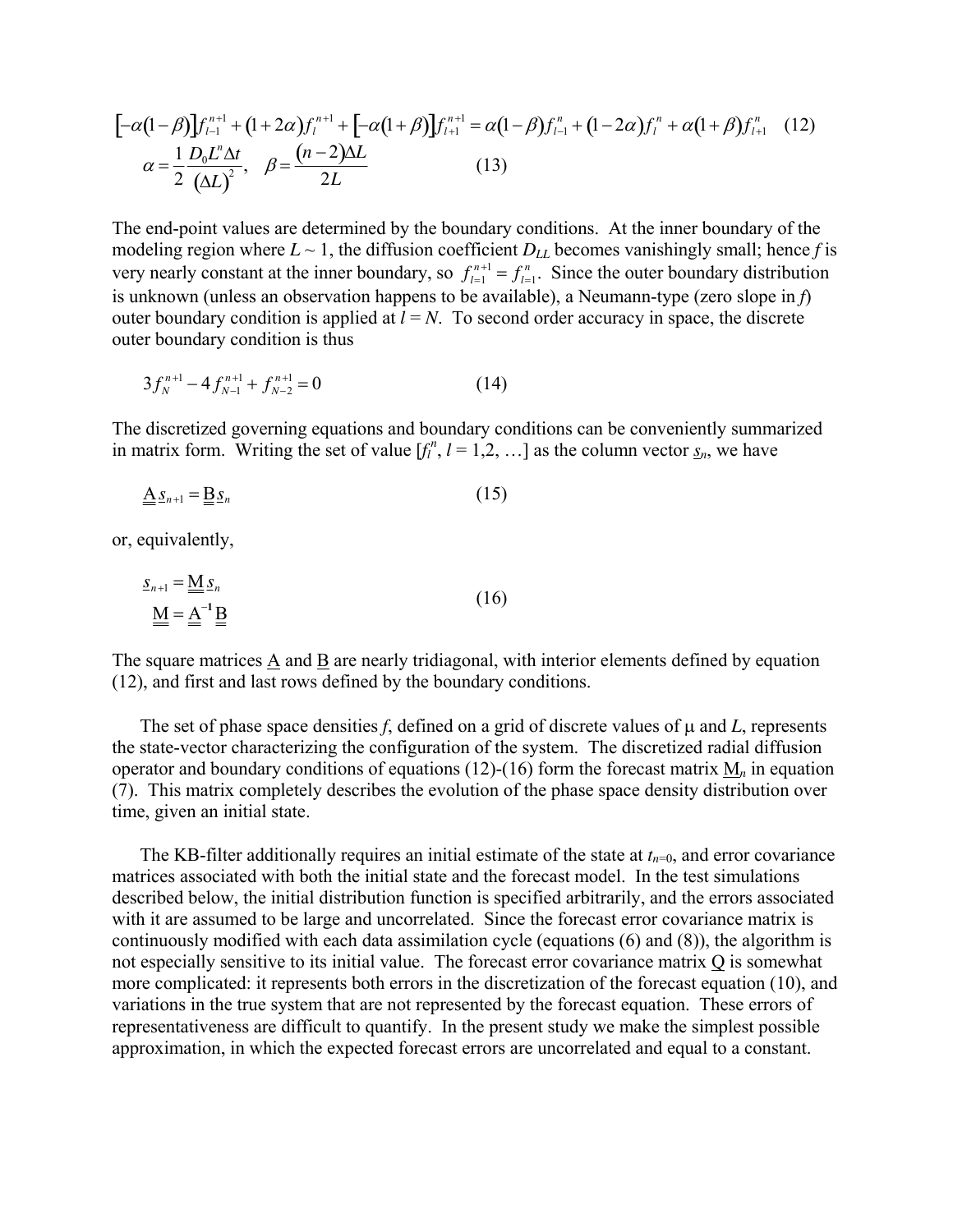$$
[-\alpha(1-\beta)]f_{l-1}^{n+1} + (1+2\alpha)f_l^{n+1} + [-\alpha(1+\beta)]f_{l+1}^{n+1} = \alpha(1-\beta)f_{l-1}^n + (1-2\alpha)f_l^n + \alpha(1+\beta)f_{l+1}^n \quad (12)
$$
  

$$
\alpha = \frac{1}{2} \frac{D_0 L^n \Delta t}{(\Delta L)^2}, \quad \beta = \frac{(n-2)\Delta L}{2L} \quad (13)
$$

The end-point values are determined by the boundary conditions. At the inner boundary of the modeling region where  $L \sim 1$ , the diffusion coefficient  $D_{LL}$  becomes vanishingly small; hence *f* is very nearly constant at the inner boundary, so  $f_{l=1}^{n+1} = f_{l=1}^n$ . Since the outer boundary distribution is unknown (unless an observation happens to be available), a Neumann-type (zero slope in *f*) outer boundary condition is applied at  $l = N$ . To second order accuracy in space, the discrete outer boundary condition is thus

$$
3f_N^{n+1} - 4f_{N-1}^{n+1} + f_{N-2}^{n+1} = 0
$$
 (14)

The discretized governing equations and boundary conditions can be conveniently summarized in matrix form. Writing the set of value  $[f_l^n, l = 1, 2, \ldots]$  as the column vector  $\underline{s}_n$ , we have

$$
\underline{\underline{A}} \underline{s}_{n+1} = \underline{\underline{B}} \underline{s}_n \tag{15}
$$

or, equivalently,

$$
\underline{\underline{S}}_{n+1} = \underline{\underline{M}} \underline{\underline{S}}_n
$$
\n
$$
\underline{\underline{M}} = \underline{\underline{A}}^{-1} \underline{\underline{B}} \tag{16}
$$

The square matrices A and B are nearly tridiagonal, with interior elements defined by equation (12), and first and last rows defined by the boundary conditions.

The set of phase space densities  $f$ , defined on a grid of discrete values of  $\mu$  and  $L$ , represents the state-vector characterizing the configuration of the system. The discretized radial diffusion operator and boundary conditions of equations (12)-(16) form the forecast matrix M*n* in equation (7). This matrix completely describes the evolution of the phase space density distribution over time, given an initial state.

The KB-filter additionally requires an initial estimate of the state at  $t_{n=0}$ , and error covariance matrices associated with both the initial state and the forecast model. In the test simulations described below, the initial distribution function is specified arbitrarily, and the errors associated with it are assumed to be large and uncorrelated. Since the forecast error covariance matrix is continuously modified with each data assimilation cycle (equations (6) and (8)), the algorithm is not especially sensitive to its initial value. The forecast error covariance matrix Q is somewhat more complicated: it represents both errors in the discretization of the forecast equation (10), and variations in the true system that are not represented by the forecast equation. These errors of representativeness are difficult to quantify. In the present study we make the simplest possible approximation, in which the expected forecast errors are uncorrelated and equal to a constant.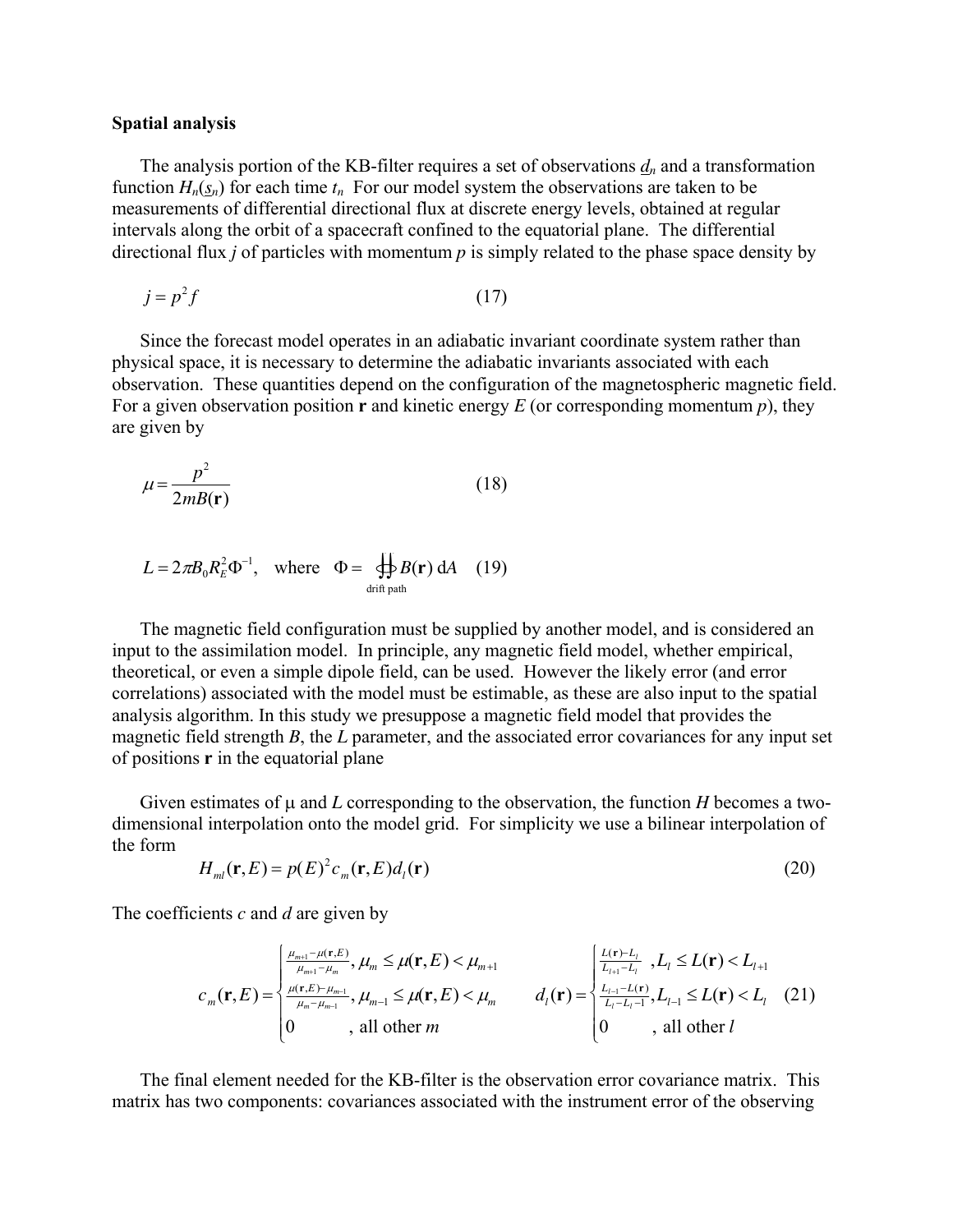#### **Spatial analysis**

The analysis portion of the KB-filter requires a set of observations  $d_n$  and a transformation function  $H_n(s_n)$  for each time  $t_n$  For our model system the observations are taken to be measurements of differential directional flux at discrete energy levels, obtained at regular intervals along the orbit of a spacecraft confined to the equatorial plane. The differential directional flux *j* of particles with momentum *p* is simply related to the phase space density by

$$
j = p^2 f \tag{17}
$$

Since the forecast model operates in an adiabatic invariant coordinate system rather than physical space, it is necessary to determine the adiabatic invariants associated with each observation. These quantities depend on the configuration of the magnetospheric magnetic field. For a given observation position **r** and kinetic energy *E* (or corresponding momentum *p*), they are given by

$$
\mu = \frac{p^2}{2mB(\mathbf{r})} \tag{18}
$$

$$
L = 2\pi B_0 R_E^2 \Phi^{-1}, \text{ where } \Phi = \bigoplus_{\text{drift path}} B(\mathbf{r}) \, dA \quad (19)
$$

The magnetic field configuration must be supplied by another model, and is considered an input to the assimilation model. In principle, any magnetic field model, whether empirical, theoretical, or even a simple dipole field, can be used. However the likely error (and error correlations) associated with the model must be estimable, as these are also input to the spatial analysis algorithm. In this study we presuppose a magnetic field model that provides the magnetic field strength *B*, the *L* parameter, and the associated error covariances for any input set of positions **r** in the equatorial plane

Given estimates of  $\mu$  and  $L$  corresponding to the observation, the function  $H$  becomes a twodimensional interpolation onto the model grid. For simplicity we use a bilinear interpolation of the form

$$
H_{ml}(\mathbf{r},E) = p(E)^2 c_m(\mathbf{r},E) d_l(\mathbf{r})
$$
\n(20)

The coefficients *c* and *d* are given by

$$
c_{m}(\mathbf{r},E) = \begin{cases} \frac{\mu_{m+1} - \mu(\mathbf{r},E)}{\mu_{m+1} - \mu_{m}}, \mu_{m} \leq \mu(\mathbf{r},E) < \mu_{m+1} \\ \frac{\mu(\mathbf{r},E) - \mu_{m-1}}{\mu_{m} - \mu_{m-1}}, \mu_{m-1} \leq \mu(\mathbf{r},E) < \mu_{m} \end{cases} \qquad d_{l}(\mathbf{r}) = \begin{cases} \frac{L(\mathbf{r}) - L_{l}}{L_{l+1} - L_{l}}, L_{l} \leq L(\mathbf{r}) < L_{l+1} \\ \frac{L_{l-1} - L(\mathbf{r})}{L_{l} - L_{l} - 1}, L_{l-1} \leq L(\mathbf{r}) < L_{l} \end{cases} (21)
$$

The final element needed for the KB-filter is the observation error covariance matrix. This matrix has two components: covariances associated with the instrument error of the observing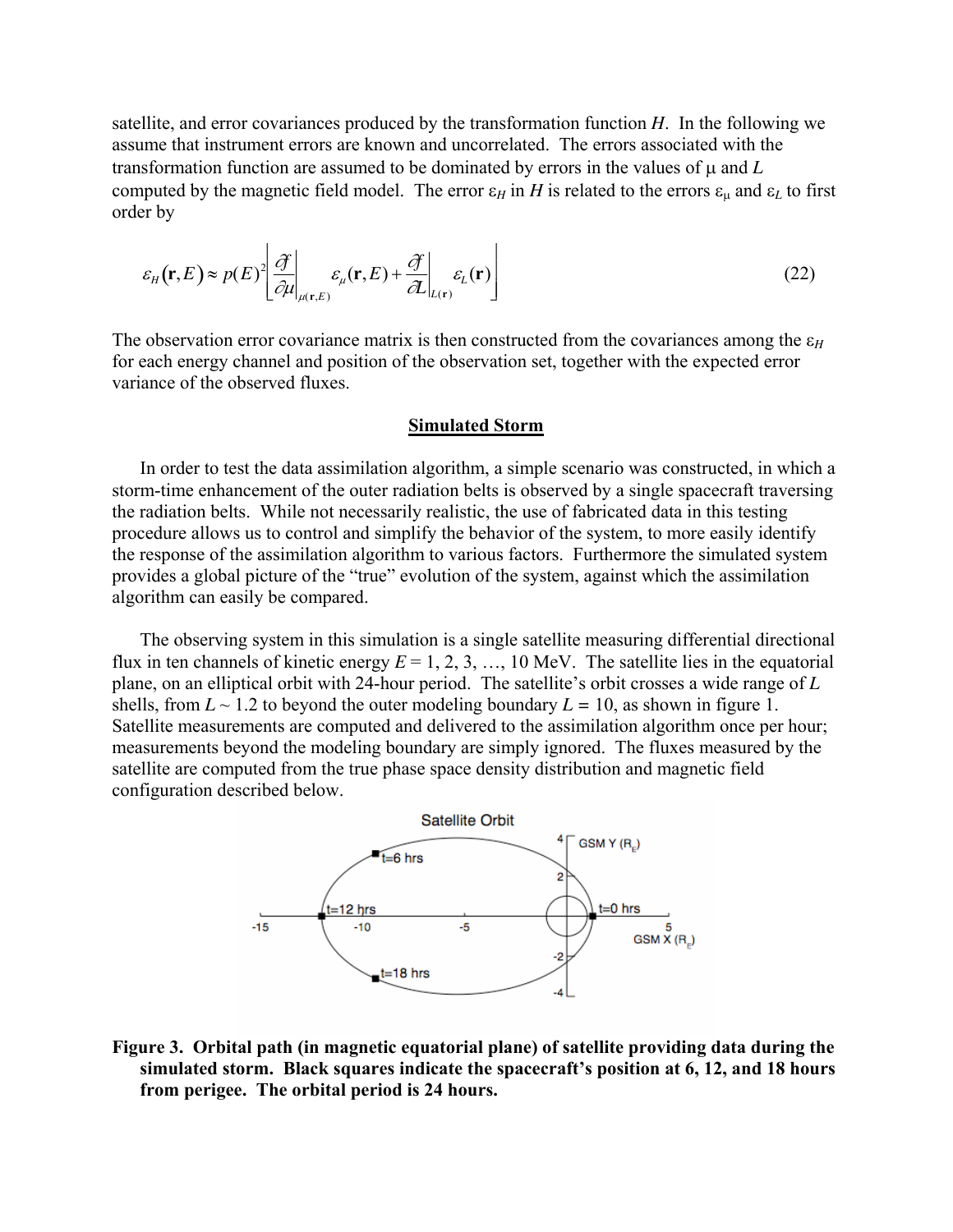satellite, and error covariances produced by the transformation function *H*. In the following we assume that instrument errors are known and uncorrelated. The errors associated with the transformation function are assumed to be dominated by errors in the values of µ and *L* computed by the magnetic field model. The error  $\varepsilon_H$  in *H* is related to the errors  $\varepsilon_\mu$  and  $\varepsilon_L$  to first order by

$$
\varepsilon_{H}(\mathbf{r},E) \approx p(E)^{2} \left[ \frac{\partial f}{\partial \mu} \bigg|_{\mu(\mathbf{r},E)} \varepsilon_{\mu}(\mathbf{r},E) + \frac{\partial f}{\partial L} \bigg|_{L(\mathbf{r})} \varepsilon_{L}(\mathbf{r}) \right]
$$
(22)

The observation error covariance matrix is then constructed from the covariances among the  $\varepsilon_H$ for each energy channel and position of the observation set, together with the expected error variance of the observed fluxes.

#### **Simulated Storm**

In order to test the data assimilation algorithm, a simple scenario was constructed, in which a storm-time enhancement of the outer radiation belts is observed by a single spacecraft traversing the radiation belts. While not necessarily realistic, the use of fabricated data in this testing procedure allows us to control and simplify the behavior of the system, to more easily identify the response of the assimilation algorithm to various factors. Furthermore the simulated system provides a global picture of the "true" evolution of the system, against which the assimilation algorithm can easily be compared.

The observing system in this simulation is a single satellite measuring differential directional flux in ten channels of kinetic energy  $E = 1, 2, 3, \ldots, 10$  MeV. The satellite lies in the equatorial plane, on an elliptical orbit with 24-hour period. The satellite's orbit crosses a wide range of *L* shells, from  $L \sim 1.2$  to beyond the outer modeling boundary  $L = 10$ , as shown in figure 1. Satellite measurements are computed and delivered to the assimilation algorithm once per hour; measurements beyond the modeling boundary are simply ignored. The fluxes measured by the satellite are computed from the true phase space density distribution and magnetic field configuration described below.



**Figure 3. Orbital path (in magnetic equatorial plane) of satellite providing data during the simulated storm. Black squares indicate the spacecraft's position at 6, 12, and 18 hours from perigee. The orbital period is 24 hours.**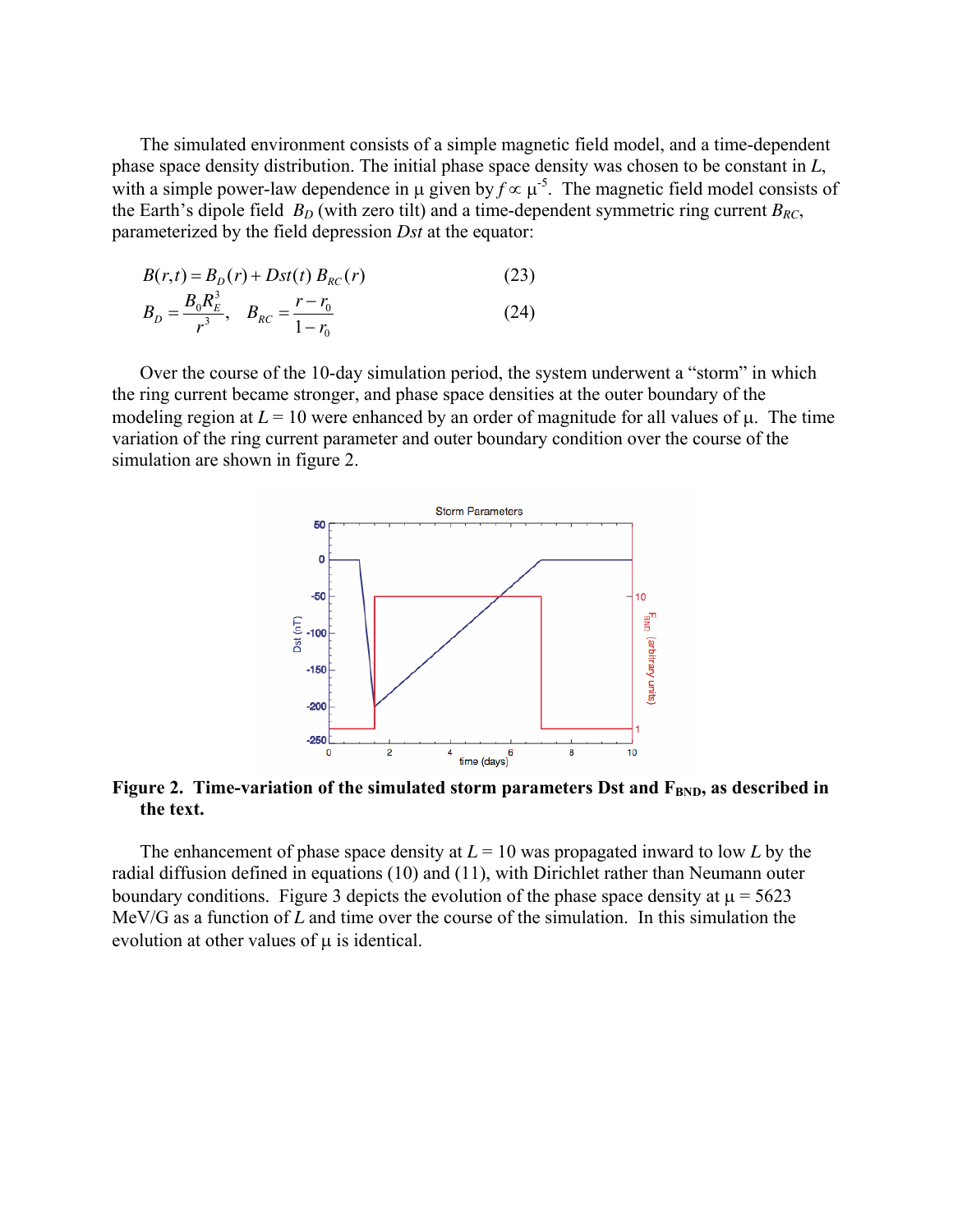The simulated environment consists of a simple magnetic field model, and a time-dependent phase space density distribution. The initial phase space density was chosen to be constant in *L*, with a simple power-law dependence in  $\mu$  given by  $f \propto \mu^{-5}$ . The magnetic field model consists of the Earth's dipole field  $B_D$  (with zero tilt) and a time-dependent symmetric ring current  $B_{RC}$ , parameterized by the field depression *Dst* at the equator:

$$
B(r,t) = B_D(r) + Dst(t) B_{RC}(r)
$$
\n
$$
B_D = \frac{B_0 R_E^3}{r^3}, \quad B_{RC} = \frac{r - r_0}{1 - r_0}
$$
\n(24)

Over the course of the 10-day simulation period, the system underwent a "storm" in which the ring current became stronger, and phase space densities at the outer boundary of the modeling region at  $L = 10$  were enhanced by an order of magnitude for all values of  $\mu$ . The time variation of the ring current parameter and outer boundary condition over the course of the simulation are shown in figure 2.



Figure 2. Time-variation of the simulated storm parameters Dst and F<sub>BND</sub>, as described in **the text.** 

The enhancement of phase space density at  $L = 10$  was propagated inward to low L by the radial diffusion defined in equations (10) and (11), with Dirichlet rather than Neumann outer boundary conditions. Figure 3 depicts the evolution of the phase space density at  $\mu$  = 5623 MeV/G as a function of *L* and time over the course of the simulation. In this simulation the evolution at other values of  $\mu$  is identical.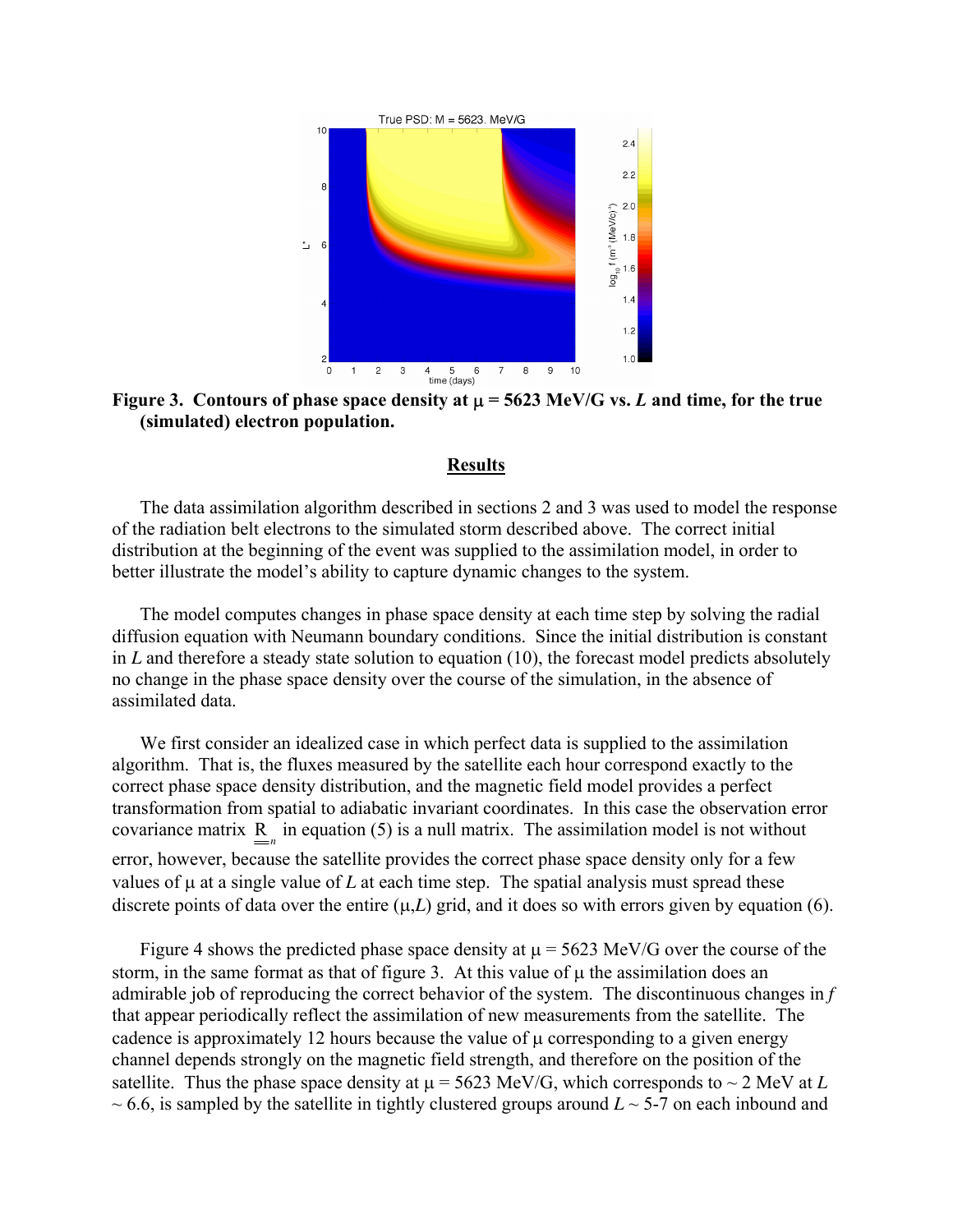

**Figure 3.** Contours of phase space density at  $\mu$  = 5623 MeV/G vs. *L* and time, for the true **(simulated) electron population.** 

# **Results**

The data assimilation algorithm described in sections 2 and 3 was used to model the response of the radiation belt electrons to the simulated storm described above. The correct initial distribution at the beginning of the event was supplied to the assimilation model, in order to better illustrate the model's ability to capture dynamic changes to the system.

The model computes changes in phase space density at each time step by solving the radial diffusion equation with Neumann boundary conditions. Since the initial distribution is constant in *L* and therefore a steady state solution to equation (10), the forecast model predicts absolutely no change in the phase space density over the course of the simulation, in the absence of assimilated data.

We first consider an idealized case in which perfect data is supplied to the assimilation algorithm. That is, the fluxes measured by the satellite each hour correspond exactly to the correct phase space density distribution, and the magnetic field model provides a perfect transformation from spatial to adiabatic invariant coordinates. In this case the observation error covariance matrix  $\underline{R}_n$  in equation (5) is a null matrix. The assimilation model is not without error, however, because the satellite provides the correct phase space density only for a few values of  $\mu$  at a single value of *L* at each time step. The spatial analysis must spread these discrete points of data over the entire  $(\mu, L)$  grid, and it does so with errors given by equation (6).

Figure 4 shows the predicted phase space density at  $\mu$  = 5623 MeV/G over the course of the storm, in the same format as that of figure 3. At this value of  $\mu$  the assimilation does an admirable job of reproducing the correct behavior of the system. The discontinuous changes in *f* that appear periodically reflect the assimilation of new measurements from the satellite. The cadence is approximately 12 hours because the value of  $\mu$  corresponding to a given energy channel depends strongly on the magnetic field strength, and therefore on the position of the satellite. Thus the phase space density at  $\mu$  = 5623 MeV/G, which corresponds to  $\sim$  2 MeV at *L*  $\sim$  6.6, is sampled by the satellite in tightly clustered groups around  $L \sim$  5-7 on each inbound and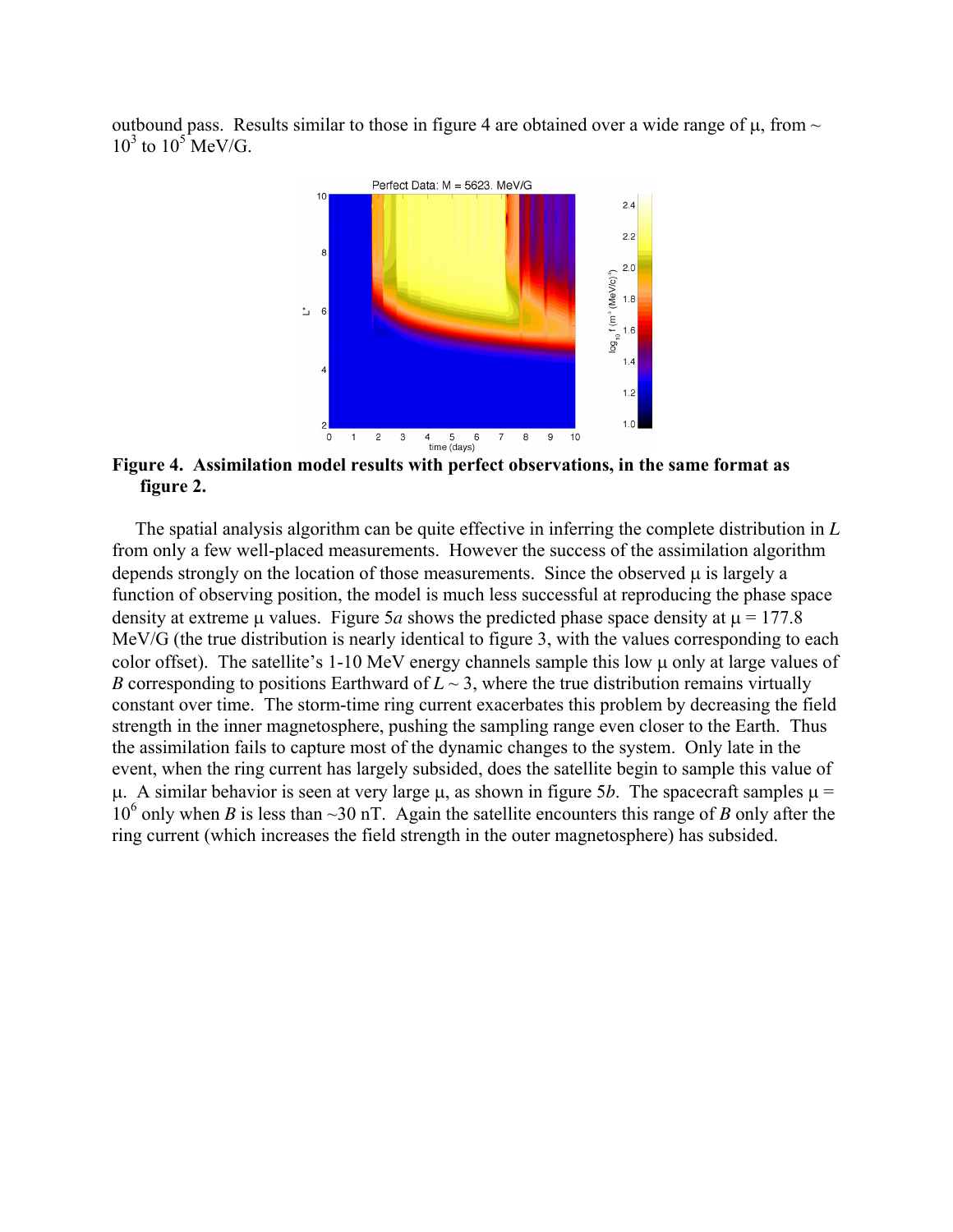outbound pass. Results similar to those in figure 4 are obtained over a wide range of  $\mu$ , from  $\sim$  $10^3$  to  $10^5$  MeV/G.



**Figure 4. Assimilation model results with perfect observations, in the same format as figure 2.** 

 The spatial analysis algorithm can be quite effective in inferring the complete distribution in *L* from only a few well-placed measurements. However the success of the assimilation algorithm depends strongly on the location of those measurements. Since the observed  $\mu$  is largely a function of observing position, the model is much less successful at reproducing the phase space density at extreme  $\mu$  values. Figure 5*a* shows the predicted phase space density at  $\mu$  = 177.8 MeV/G (the true distribution is nearly identical to figure 3, with the values corresponding to each color offset). The satellite's 1-10 MeV energy channels sample this low  $\mu$  only at large values of *B* corresponding to positions Earthward of  $L \sim 3$ , where the true distribution remains virtually constant over time. The storm-time ring current exacerbates this problem by decreasing the field strength in the inner magnetosphere, pushing the sampling range even closer to the Earth. Thus the assimilation fails to capture most of the dynamic changes to the system. Only late in the event, when the ring current has largely subsided, does the satellite begin to sample this value of  $\mu$ . A similar behavior is seen at very large  $\mu$ , as shown in figure 5*b*. The spacecraft samples  $\mu$  =  $10^6$  only when *B* is less than ~30 nT. Again the satellite encounters this range of *B* only after the ring current (which increases the field strength in the outer magnetosphere) has subsided.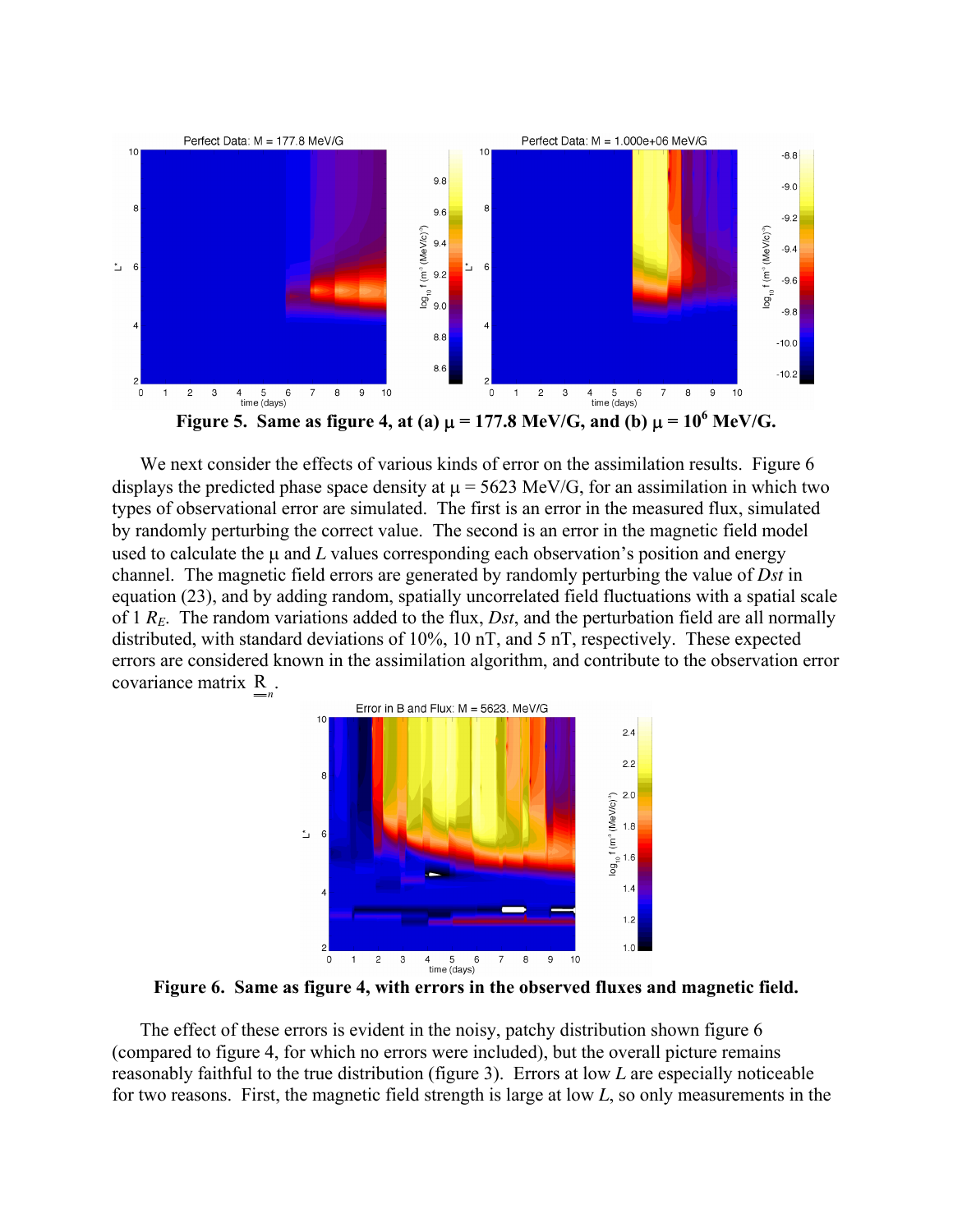

We next consider the effects of various kinds of error on the assimilation results. Figure 6 displays the predicted phase space density at  $\mu$  = 5623 MeV/G, for an assimilation in which two types of observational error are simulated. The first is an error in the measured flux, simulated by randomly perturbing the correct value. The second is an error in the magnetic field model used to calculate the µ and *L* values corresponding each observation's position and energy channel. The magnetic field errors are generated by randomly perturbing the value of *Dst* in equation (23), and by adding random, spatially uncorrelated field fluctuations with a spatial scale of 1 *RE*. The random variations added to the flux, *Dst*, and the perturbation field are all normally distributed, with standard deviations of 10%, 10 nT, and 5 nT, respectively. These expected errors are considered known in the assimilation algorithm, and contribute to the observation error covariance matrix  $\sum_{n=1}^{\infty}$ .



**Figure 6. Same as figure 4, with errors in the observed fluxes and magnetic field.** 

The effect of these errors is evident in the noisy, patchy distribution shown figure 6 (compared to figure 4, for which no errors were included), but the overall picture remains reasonably faithful to the true distribution (figure 3). Errors at low *L* are especially noticeable for two reasons. First, the magnetic field strength is large at low *L*, so only measurements in the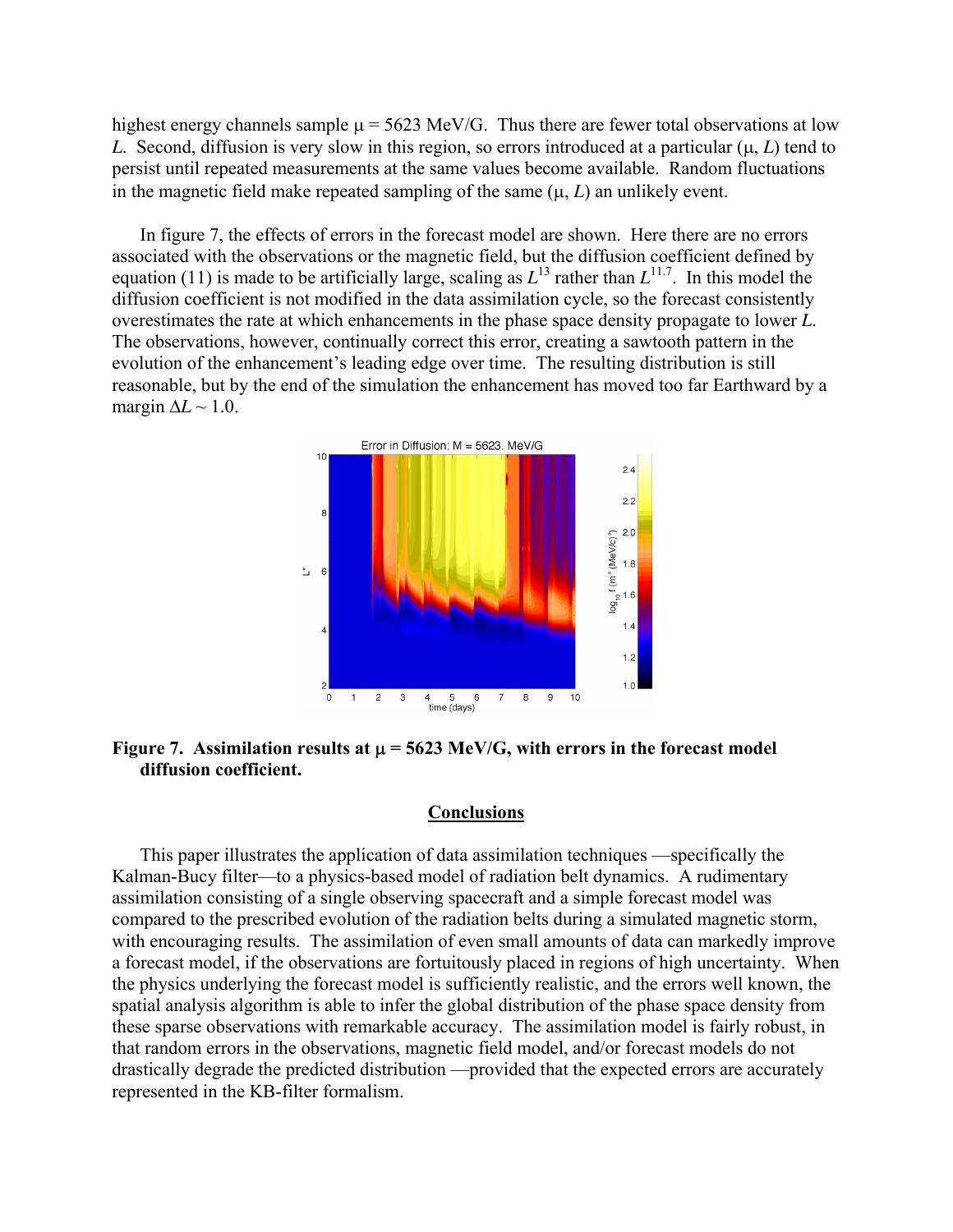highest energy channels sample  $\mu$  = 5623 MeV/G. Thus there are fewer total observations at low *L.* Second, diffusion is very slow in this region, so errors introduced at a particular  $(\mu, L)$  tend to persist until repeated measurements at the same values become available. Random fluctuations in the magnetic field make repeated sampling of the same  $(\mu, L)$  an unlikely event.

In figure 7, the effects of errors in the forecast model are shown. Here there are no errors associated with the observations or the magnetic field, but the diffusion coefficient defined by equation (11) is made to be artificially large, scaling as  $L^{13}$  rather than  $L^{11.7}$ . In this model the diffusion coefficient is not modified in the data assimilation cycle, so the forecast consistently overestimates the rate at which enhancements in the phase space density propagate to lower *L*. The observations, however, continually correct this error, creating a sawtooth pattern in the evolution of the enhancement's leading edge over time. The resulting distribution is still reasonable, but by the end of the simulation the enhancement has moved too far Earthward by a margin  $\Delta L \sim 1.0$ .



Figure 7. Assimilation results at  $\mu$  = 5623 MeV/G, with errors in the forecast model **diffusion coefficient.** 

## **Conclusions**

This paper illustrates the application of data assimilation techniques —specifically the Kalman-Bucy filter—to a physics-based model of radiation belt dynamics. A rudimentary assimilation consisting of a single observing spacecraft and a simple forecast model was compared to the prescribed evolution of the radiation belts during a simulated magnetic storm, with encouraging results. The assimilation of even small amounts of data can markedly improve a forecast model, if the observations are fortuitously placed in regions of high uncertainty. When the physics underlying the forecast model is sufficiently realistic, and the errors well known, the spatial analysis algorithm is able to infer the global distribution of the phase space density from these sparse observations with remarkable accuracy. The assimilation model is fairly robust, in that random errors in the observations, magnetic field model, and/or forecast models do not drastically degrade the predicted distribution —provided that the expected errors are accurately represented in the KB-filter formalism.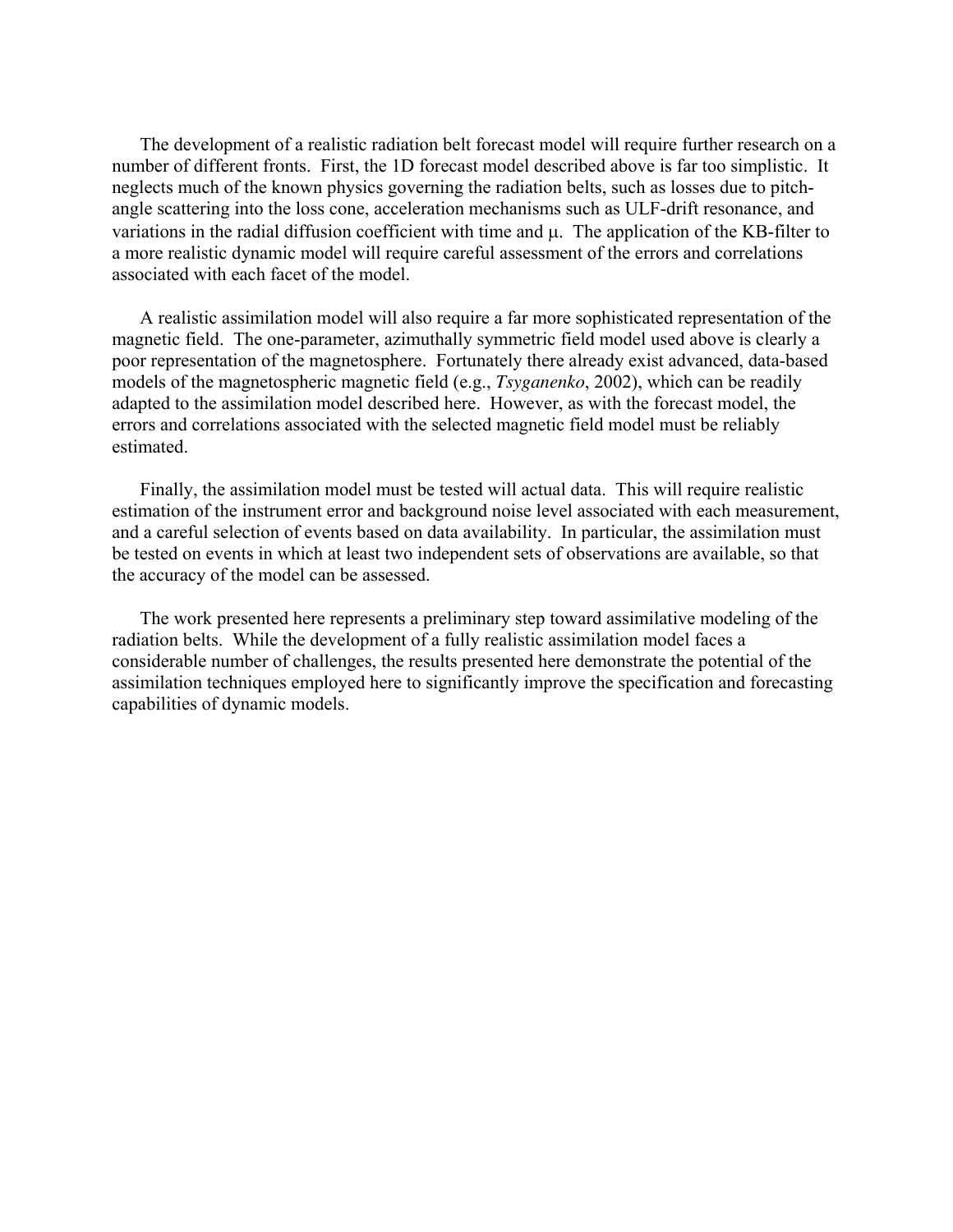The development of a realistic radiation belt forecast model will require further research on a number of different fronts. First, the 1D forecast model described above is far too simplistic. It neglects much of the known physics governing the radiation belts, such as losses due to pitchangle scattering into the loss cone, acceleration mechanisms such as ULF-drift resonance, and variations in the radial diffusion coefficient with time and µ. The application of the KB-filter to a more realistic dynamic model will require careful assessment of the errors and correlations associated with each facet of the model.

A realistic assimilation model will also require a far more sophisticated representation of the magnetic field. The one-parameter, azimuthally symmetric field model used above is clearly a poor representation of the magnetosphere. Fortunately there already exist advanced, data-based models of the magnetospheric magnetic field (e.g., *Tsyganenko*, 2002), which can be readily adapted to the assimilation model described here. However, as with the forecast model, the errors and correlations associated with the selected magnetic field model must be reliably estimated.

Finally, the assimilation model must be tested will actual data. This will require realistic estimation of the instrument error and background noise level associated with each measurement, and a careful selection of events based on data availability. In particular, the assimilation must be tested on events in which at least two independent sets of observations are available, so that the accuracy of the model can be assessed.

The work presented here represents a preliminary step toward assimilative modeling of the radiation belts. While the development of a fully realistic assimilation model faces a considerable number of challenges, the results presented here demonstrate the potential of the assimilation techniques employed here to significantly improve the specification and forecasting capabilities of dynamic models.